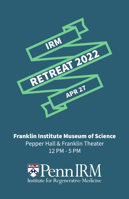

Franklin Institute Museum of Science Pepper Hall & Franklin Theater 12 PM - 5 PM

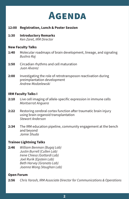

- **12:00 Registration, Lunch & Poster Session**
- **1:30 Introductory Remarks** *Ken Zaret, IRM Director*

### **New Faculty Talks**

- **1:40** Molecular roadmaps of brain development, lineage, and signaling *Bushra Raj*
- **1:50** Circadian rhythms and cell maturation *Juan Alvarez*
- **2:00** Investigating the role of retrotransposon reactivation during preimplantation development *Andrew Modzelewski*

#### **IRM Faculty Talks I**

- **2:10** Live cell imaging of allele-specific expression in immune cells *Montserrat Anguera*
- **2:22** Restoring cerebral cortex function after traumatic brain injury using brain organoid transplantation *Stewart Anderson*
- **2:34** The IRM education pipeline, community engagement at the bench and beyond *Jamie Shuda*

# **Trainee Lightning Talks**

**2:46** *William Benman (Bugaj Lab) Justin Burrell (Cullen Lab) Irene Chiesa (Gottardi Lab) Joel Rurik (Epstein Lab) Beth Harvey (Granato Lab) Joanna Wong (Vaughan Lab)*

### **Open Forum**

**2:56** *Chris Yarosh, IRM Associate Director for Communications & Operations*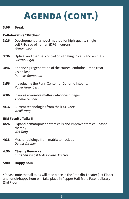# **Agenda (cont.)**

## **3:06 Break**

# **Collaborative "Pitches"**

- **3:26** Development of a novel method for high-quality single cell RNA-seq of human (DRG) neurons *Wenqin Luo*
- **3:36** Optical and thermal control of signaling in cells and animals *Lukasz Bugaj*
- **3:46** Enhancing regeneration of the corneal endothelium to treat vision loss *Pantelis Rompolas*
- **3:56** Introducing the Penn Center for Genome Integrity *Roger Greenberg*
- **4:06** If sex as a variable matters why doesn't age? *Thomas Schaer*
- **4:16** Current technologies from the iPSC Core *Wenli Yang*

# **IRM Faculty Talks II**

- **4:26** Expand hematopoietic stem cells and improve stem cell-based therapy *Wei Tong*
- **4:38** Mechanobiology from matrix to nucleus *Dennis Discher*
- **4:50 Closing Remarks** *Chris Lengner, IRM Associate Director*
- **5:00 Happy hour**

**\***Please note that all talks will take place in the Franklin Theater (1st Floor) and lunch/happy hour will take place in Pepper Hall & the Patent Library (3rd Floor).